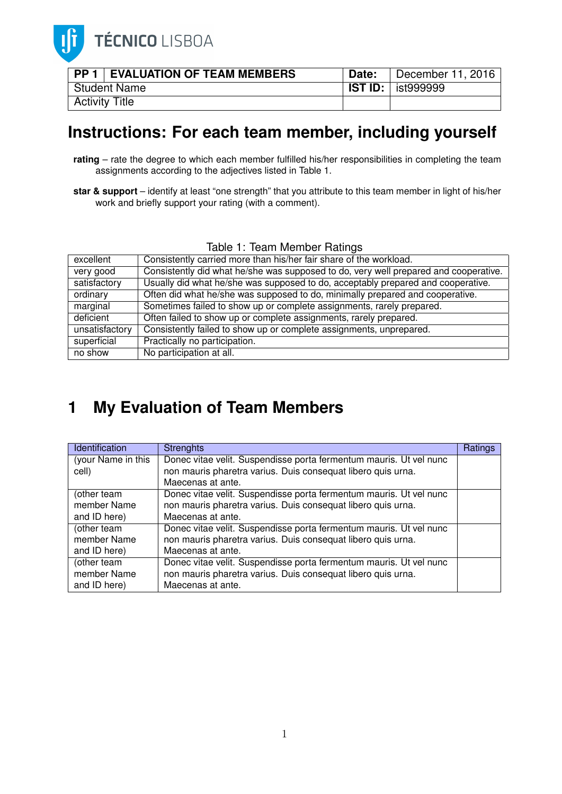

|                | <b>PP 1 EVALUATION OF TEAM MEMBERS</b> | <b>Date:</b> | December 11, 2016                |  |
|----------------|----------------------------------------|--------------|----------------------------------|--|
|                | Student Name                           |              | <b>IST ID:</b> $\vert$ ist999999 |  |
| Activity Title |                                        |              |                                  |  |

## **Instructions: For each team member, including yourself**

- **rating** rate the degree to which each member fulfilled his/her responsibilities in completing the team assignments according to the adjectives listed in Table 1.
- **star & support** identify at least "one strength" that you attribute to this team member in light of his/her work and briefly support your rating (with a comment).

| Table T. Team Member Ratings |                                                                                      |  |  |  |  |
|------------------------------|--------------------------------------------------------------------------------------|--|--|--|--|
| excellent                    | Consistently carried more than his/her fair share of the workload.                   |  |  |  |  |
| very good                    | Consistently did what he/she was supposed to do, very well prepared and cooperative. |  |  |  |  |
| satisfactory                 | Usually did what he/she was supposed to do, acceptably prepared and cooperative.     |  |  |  |  |
| ordinary                     | Often did what he/she was supposed to do, minimally prepared and cooperative.        |  |  |  |  |
| marginal                     | Sometimes failed to show up or complete assignments, rarely prepared.                |  |  |  |  |
| deficient                    | Often failed to show up or complete assignments, rarely prepared.                    |  |  |  |  |
| unsatisfactory               | Consistently failed to show up or complete assignments, unprepared.                  |  |  |  |  |
| superficial                  | Practically no participation.                                                        |  |  |  |  |
| no show                      | No participation at all.                                                             |  |  |  |  |

## Table 1: Team Member Ratings

## **1 My Evaluation of Team Members**

| Identification                             | <b>Strenghts</b>                                                                                                                                        | Ratings |
|--------------------------------------------|---------------------------------------------------------------------------------------------------------------------------------------------------------|---------|
| (your Name in this<br>cell)                | Donec vitae velit. Suspendisse porta fermentum mauris. Ut vel nunc<br>non mauris pharetra varius. Duis consequat libero quis urna.                      |         |
|                                            | Maecenas at ante.                                                                                                                                       |         |
| (other team<br>member Name<br>and ID here) | Donec vitae velit. Suspendisse porta fermentum mauris. Ut vel nunc<br>non mauris pharetra varius. Duis consequat libero quis urna.<br>Maecenas at ante. |         |
| (other team<br>member Name<br>and ID here) | Donec vitae velit. Suspendisse porta fermentum mauris. Ut vel nunc<br>non mauris pharetra varius. Duis consequat libero quis urna.<br>Maecenas at ante. |         |
| (other team<br>member Name<br>and ID here) | Donec vitae velit. Suspendisse porta fermentum mauris. Ut vel nunc<br>non mauris pharetra varius. Duis consequat libero quis urna.<br>Maecenas at ante. |         |